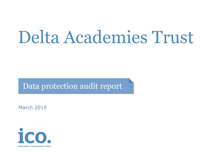# Delta Academies Trust

Data protection audit report

March 2019

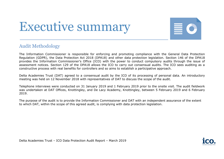## Executive summary



#### Audit Methodology

The Information Commissioner is responsible for enforcing and promoting compliance with the General Data Protection Regulation (GDPR), the Data Protection Act 2018 (DPA18) and other data protection legislation. Section 146 of the DPA18 provides the Information Commissioner's Office (ICO) with the power to conduct compulsory audits through the issue of assessment notices. Section 129 of the DPA18 allows the ICO to carry out consensual audits. The ICO sees auditing as a constructive process with real benefits for controllers and so aims to establish a participative approach.

Delta Academies Trust (DAT) agreed to a consensual audit by the ICO of its processing of personal data. An introductory meeting was held on 12 November 2018 with representatives of DAT to discuss the scope of the audit.

Telephone interviews were conducted on 31 January 2019 and 1 February 2019 prior to the onsite visit. The audit fieldwork was undertaken at DAT Offices, Knottingley, and De Lacy Academy, Knottingley, between 5 February 2019 and 6 February 2019.

The purpose of the audit is to provide the Information Commissioner and DAT with an independent assurance of the extent to which DAT, within the scope of this agreed audit, is complying with data protection legislation.

Delta Academies Trust – ICO Data Protection Audit Report – March 2019

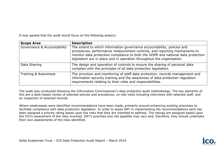It was agreed that the audit would focus on the following area(s):

| <b>Scope Area</b>           | <b>Description</b>                                                                                                                                                                                                                                                                                                 |
|-----------------------------|--------------------------------------------------------------------------------------------------------------------------------------------------------------------------------------------------------------------------------------------------------------------------------------------------------------------|
| Governance & Accountability | The extent to which information governance accountability, policies and<br>procedures, performance measurement controls, and reporting mechanisms to<br>monitor data protection compliance to both the GDPR and national data protection<br>legislation are in place and in operation throughout the organisation. |
| Data Sharing                | The design and operation of controls to ensure the sharing of personal data<br>complies with the principles of all data protection legislation.                                                                                                                                                                    |
| Training & Awareness        | The provision and monitoring of staff data protection, records management and<br>information security training and the awareness of data protection regulation<br>requirements relating to their roles and responsibilities.                                                                                       |

The audit was conducted following the Information Commissioner's data protection audit methodology. The key elements of this are a desk-based review of selected policies and procedures, on-site visits including interviews with selected staff, and an inspection of selected records.

Where weaknesses were identified recommendations have been made, primarily around enhancing existing processes to facilitate compliance with data protection legislation. In order to assist DAT in implementing the recommendations each has been assigned a priority rating based upon the risks that they are intended to address. The ratings are assigned based upon the ICO's assessment of the risks involved. DAT's priorities and risk appetite may vary and, therefore, they should undertake their own assessments of the risks identified.

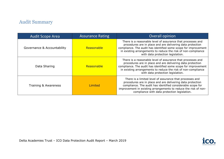### Audit Summary

| Audit Scope Area            | <b>Assurance Rating</b> | Overall opinion                                                                                                                                                                                                                                                                                          |
|-----------------------------|-------------------------|----------------------------------------------------------------------------------------------------------------------------------------------------------------------------------------------------------------------------------------------------------------------------------------------------------|
| Governance & Accountability | Reasonable              | There is a reasonable level of assurance that processes and<br>procedures are in place and are delivering data protection<br>compliance. The audit has identified some scope for improvement<br>in existing arrangements to reduce the risk of non-compliance<br>with data protection legislation.       |
| Data Sharing                | Reasonable              | There is a reasonable level of assurance that processes and<br>procedures are in place and are delivering data protection<br>compliance. The audit has identified some scope for improvement<br>in existing arrangements to reduce the risk of non-compliance<br>with data protection legislation.       |
| Training & Awareness        | Limited                 | There is a limited level of assurance that processes and<br>procedures are in place and are delivering data protection<br>compliance. The audit has identified considerable scope for<br>improvement in existing arrangements to reduce the risk of non-<br>compliance with data protection legislation. |

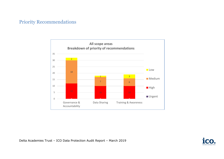#### Priority Recommendations





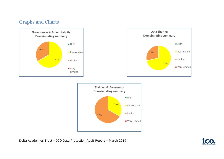#### Graphs and Charts





Delta Academies Trust – ICO Data Protection Audit Report – March 2019

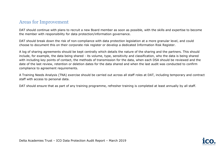#### Areas for Improvement

DAT should continue with plans to recruit a new Board member as soon as possible, with the skills and expertise to become the member with responsibility for data protection/information governance.

DAT should break down the risk of non-compliance with data protection legislation at a more granular level, and could choose to document this on their corporate risk register or develop a dedicated Information Risk Register.

A log of sharing agreements should be kept centrally which details the nature of the sharing and the partners. This should include, for example, the data being shared - its volume, type, sensitivity and classification, who the data is being shared with including key points of contact, the methods of transmission for the data, when each DSA should be reviewed and the date of the last review, retention or deletion dates for the data shared and when the last audit was conducted to confirm compliance to agreement requirements.

A Training Needs Analysis (TNA) exercise should be carried out across all staff roles at DAT, including temporary and contract staff with access to personal data.

DAT should ensure that as part of any training programme, refresher training is completed at least annually by all staff.

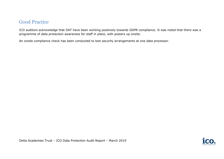#### Good Practice

ICO auditors acknowledge that DAT have been working positively towards GDPR compliance. It was noted that there was a programme of data protection awareness for staff in place, with posters up onsite.

An onsite compliance check has been conducted to test security arrangements at one data processor.